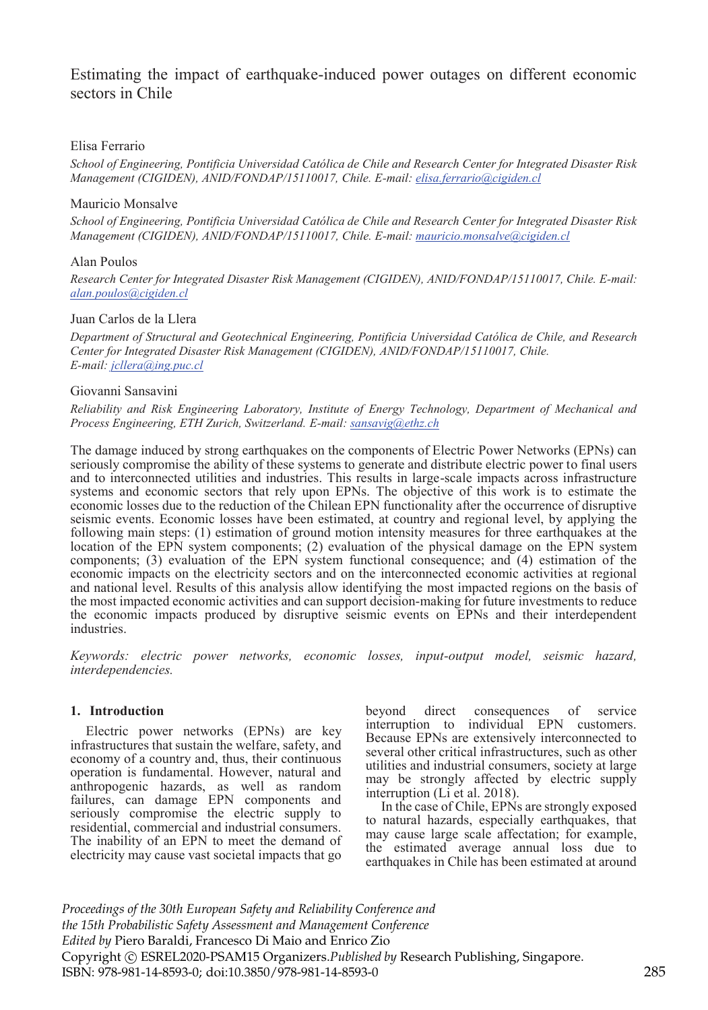# Estimating the impact of earthquake-induced power outages on different economic sectors in Chile

# Elisa Ferrario

*School of Engineering, Pontificia Universidad Católica de Chile and Research Center for Integrated Disaster Risk Management (CIGIDEN), ANID/FONDAP/15110017, Chile. E-mail: elisa.ferrario@cigiden.cl* 

## Mauricio Monsalve

*School of Engineering, Pontificia Universidad Católica de Chile and Research Center for Integrated Disaster Risk Management (CIGIDEN), ANID/FONDAP/15110017, Chile. E-mail: mauricio.monsalve@cigiden.cl*

### Alan Poulos

*Research Center for Integrated Disaster Risk Management (CIGIDEN), ANID/FONDAP/15110017, Chile. E-mail: alan.poulos@cigiden.cl*

### Juan Carlos de la Llera

*Department of Structural and Geotechnical Engineering, Pontificia Universidad Católica de Chile, and Research Center for Integrated Disaster Risk Management (CIGIDEN), ANID/FONDAP/15110017, Chile. E-mail: jcllera@ing.puc.cl*

# Giovanni Sansavini

*Reliability and Risk Engineering Laboratory, Institute of Energy Technology, Department of Mechanical and Process Engineering, ETH Zurich, Switzerland. E-mail: sansavig@ethz.ch*

The damage induced by strong earthquakes on the components of Electric Power Networks (EPNs) can seriously compromise the ability of these systems to generate and distribute electric power to final users and to interconnected utilities and industries. This results in large-scale impacts across infrastructure systems and economic sectors that rely upon EPNs. The objective of this work is to estimate the economic losses due to the reduction of the Chilean EPN functionality after the occurrence of disruptive seismic events. Economic losses have been estimated, at country and regional level, by applying the following main steps: (1) estimation of ground motion intensity measures for three earthquakes at the location of the EPN system components; (2) evaluation of the physical damage on the EPN system components; (3) evaluation of the EPN system functional consequence; and (4) estimation of the economic impacts on the electricity sectors and on the interconnected economic activities at regional and national level. Results of this analysis allow identifying the most impacted regions on the basis of the most impacted economic activities and can support decision-making for future investments to reduce the economic impacts produced by disruptive seismic events on EPNs and their interdependent industries.

*Keywords: electric power networks, economic losses, input-output model, seismic hazard, interdependencies.* 

# **1. Introduction**

Electric power networks (EPNs) are key infrastructures that sustain the welfare, safety, and economy of a country and, thus, their continuous operation is fundamental. However, natural and anthropogenic hazards, as well as random failures, can damage EPN components and seriously compromise the electric supply to residential, commercial and industrial consumers. The inability of an EPN to meet the demand of electricity may cause vast societal impacts that go beyond direct consequences of service interruption to individual EPN customers. Because EPNs are extensively interconnected to several other critical infrastructures, such as other utilities and industrial consumers, society at large may be strongly affected by electric supply interruption (Li et al. 2018).

In the case of Chile, EPNs are strongly exposed to natural hazards, especially earthquakes, that may cause large scale affectation; for example, the estimated average annual loss due to earthquakes in Chile has been estimated at around

*Proceedings of the 30th European Safety and Reliability Conference and the 15th Probabilistic Safety Assessment and Management Conference Edited by* Piero Baraldi, Francesco Di Maio and Enrico Zio Copyright © ESREL2020-PSAM15 Organizers.*Published by* Research Publishing, Singapore. ISBN: 978-981-14-8593-0; doi:10.3850/978-981-14-8593-0 285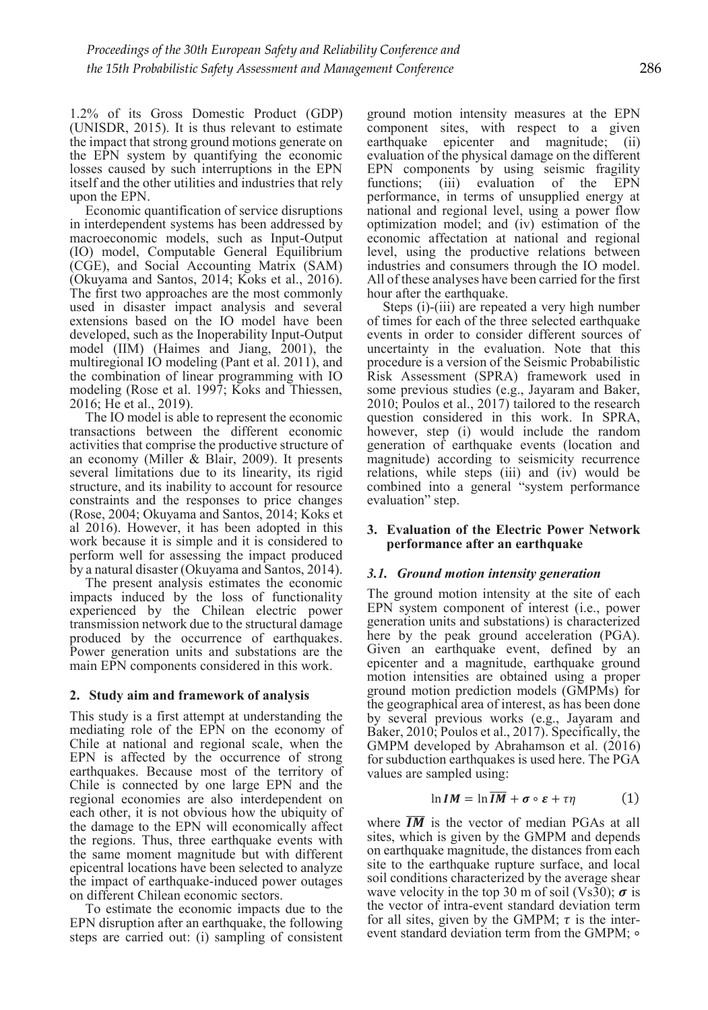1.2% of its Gross Domestic Product (GDP) (UNISDR, 2015). It is thus relevant to estimate the impact that strong ground motions generate on the EPN system by quantifying the economic losses caused by such interruptions in the EPN itself and the other utilities and industries that rely upon the EPN.

Economic quantification of service disruptions in interdependent systems has been addressed by macroeconomic models, such as Input-Output (IO) model, Computable General Equilibrium (CGE), and Social Accounting Matrix (SAM) (Okuyama and Santos, 2014; Koks et al., 2016). The first two approaches are the most commonly used in disaster impact analysis and several extensions based on the IO model have been developed, such as the Inoperability Input-Output model (IIM) (Haimes and Jiang, 2001), the multiregional IO modeling (Pant et al. 2011), and the combination of linear programming with IO modeling (Rose et al. 1997; Koks and Thiessen, 2016; He et al., 2019).

The IO model is able to represent the economic transactions between the different economic activities that comprise the productive structure of an economy (Miller & Blair, 2009). It presents several limitations due to its linearity, its rigid structure, and its inability to account for resource constraints and the responses to price changes (Rose, 2004; Okuyama and Santos, 2014; Koks et al 2016). However, it has been adopted in this work because it is simple and it is considered to perform well for assessing the impact produced by a natural disaster (Okuyama and Santos, 2014).

The present analysis estimates the economic impacts induced by the loss of functionality experienced by the Chilean electric power transmission network due to the structural damage produced by the occurrence of earthquakes. Power generation units and substations are the main EPN components considered in this work.

# **2. Study aim and framework of analysis**

This study is a first attempt at understanding the mediating role of the EPN on the economy of Chile at national and regional scale, when the EPN is affected by the occurrence of strong earthquakes. Because most of the territory of Chile is connected by one large EPN and the regional economies are also interdependent on each other, it is not obvious how the ubiquity of the damage to the EPN will economically affect the regions. Thus, three earthquake events with the same moment magnitude but with different epicentral locations have been selected to analyze the impact of earthquake-induced power outages on different Chilean economic sectors.

To estimate the economic impacts due to the EPN disruption after an earthquake, the following steps are carried out: (i) sampling of consistent ground motion intensity measures at the EPN component sites, with respect to a given earthquake epicenter and magnitude; (ii) evaluation of the physical damage on the different EPN components by using seismic fragility functions; (iii) evaluation of the EPN performance, in terms of unsupplied energy at national and regional level, using a power flow optimization model; and (iv) estimation of the economic affectation at national and regional level, using the productive relations between industries and consumers through the IO model. All of these analyses have been carried for the first hour after the earthquake.

Steps (i)-(iii) are repeated a very high number of times for each of the three selected earthquake events in order to consider different sources of uncertainty in the evaluation. Note that this procedure is a version of the Seismic Probabilistic Risk Assessment (SPRA) framework used in some previous studies (e.g., Jayaram and Baker, 2010; Poulos et al., 2017) tailored to the research question considered in this work. In SPRA, however, step (i) would include the random generation of earthquake events (location and magnitude) according to seismicity recurrence relations, while steps (iii) and (iv) would be combined into a general "system performance evaluation" step.

### **3. Evaluation of the Electric Power Network performance after an earthquake**

# *3.1. Ground motion intensity generation*

The ground motion intensity at the site of each EPN system component of interest (i.e., power generation units and substations) is characterized here by the peak ground acceleration (PGA). Given an earthquake event, defined by an epicenter and a magnitude, earthquake ground motion intensities are obtained using a proper ground motion prediction models (GMPMs) for the geographical area of interest, as has been done by several previous works (e.g., Jayaram and Baker, 2010; Poulos et al., 2017). Specifically, the GMPM developed by Abrahamson et al. (2016) for subduction earthquakes is used here. The PGA values are sampled using:

$$
\ln IM = \ln \overline IM + \sigma \circ \varepsilon + \tau \eta \tag{1}
$$

where  $\overline{IM}$  is the vector of median PGAs at all sites, which is given by the GMPM and depends on earthquake magnitude, the distances from each site to the earthquake rupture surface, and local soil conditions characterized by the average shear wave velocity in the top 30 m of soil (Vs30);  $\sigma$  is the vector of intra-event standard deviation term for all sites, given by the GMPM;  $\tau$  is the interevent standard deviation term from the GMPM;  $\circ$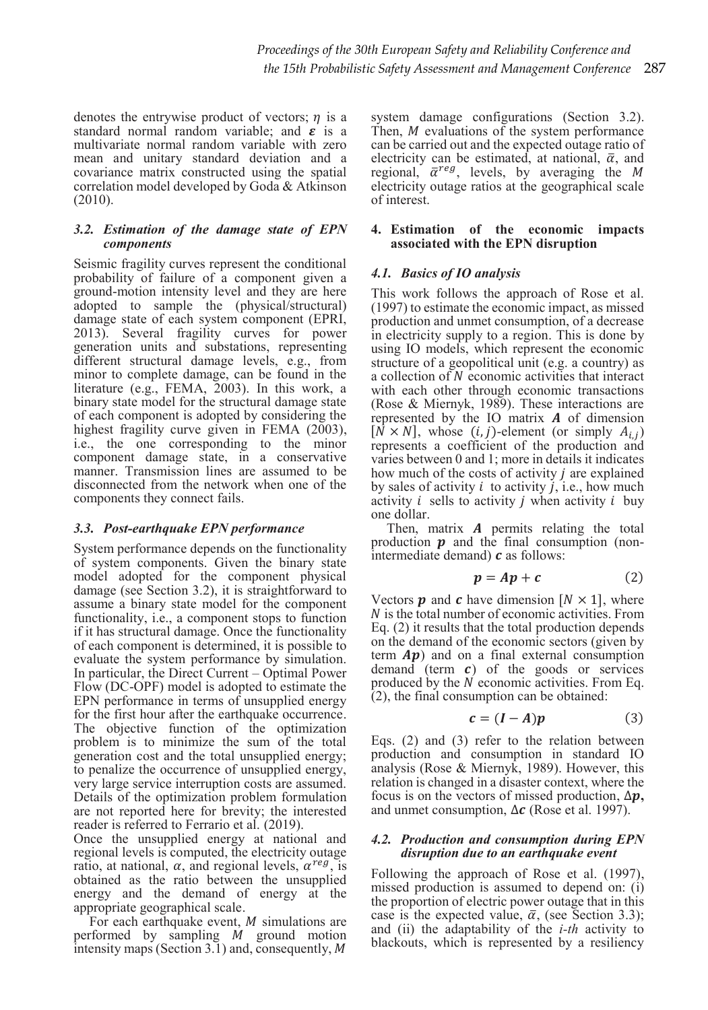denotes the entrywise product of vectors;  $n$  is a standard normal random variable; and  $\epsilon$  is a multivariate normal random variable with zero mean and unitary standard deviation and a covariance matrix constructed using the spatial correlation model developed by Goda & Atkinson (2010).

## *3.2. Estimation of the damage state of EPN components*

Seismic fragility curves represent the conditional probability of failure of a component given a ground-motion intensity level and they are here adopted to sample the (physical/structural) damage state of each system component (EPRI, 2013). Several fragility curves for power generation units and substations, representing different structural damage levels, e.g., from minor to complete damage, can be found in the literature (e.g., FEMA, 2003). In this work, a binary state model for the structural damage state of each component is adopted by considering the highest fragility curve given in FEMA  $(2003)$ , i.e., the one corresponding to the minor component damage state, in a conservative manner. Transmission lines are assumed to be disconnected from the network when one of the components they connect fails.

# *3.3. Post-earthquake EPN performance*

System performance depends on the functionality of system components. Given the binary state model adopted for the component physical damage (see Section 3.2), it is straightforward to assume a binary state model for the component functionality, i.e., a component stops to function if it has structural damage. Once the functionality of each component is determined, it is possible to evaluate the system performance by simulation. In particular, the Direct Current – Optimal Power Flow (DC-OPF) model is adopted to estimate the EPN performance in terms of unsupplied energy for the first hour after the earthquake occurrence. The objective function of the optimization problem is to minimize the sum of the total generation cost and the total unsupplied energy; to penalize the occurrence of unsupplied energy, very large service interruption costs are assumed. Details of the optimization problem formulation are not reported here for brevity; the interested reader is referred to Ferrario et al. (2019).

Once the unsupplied energy at national and regional levels is computed, the electricity outage ratio, at national,  $\alpha$ , and regional levels,  $\alpha^{reg}$ , is obtained as the ratio between the unsupplied energy and the demand of energy at the appropriate geographical scale.

For each earthquake event,  $M$  simulations are performed by sampling  $M$  ground motion intensity maps (Section 3.1) and, consequently,  $M$  system damage configurations (Section 3.2). Then,  $M$  evaluations of the system performance can be carried out and the expected outage ratio of electricity can be estimated, at national,  $\bar{\alpha}$ , and regional,  $\bar{\alpha}^{reg}$ , levels, by averaging the M electricity outage ratios at the geographical scale of interest.

# **4. Estimation of the economic impacts associated with the EPN disruption**

# *4.1. Basics of IO analysis*

This work follows the approach of Rose et al. (1997) to estimate the economic impact, as missed production and unmet consumption, of a decrease in electricity supply to a region. This is done by using IO models, which represent the economic structure of a geopolitical unit (e.g. a country) as a collection of N economic activities that interact with each other through economic transactions (Rose & Miernyk, 1989). These interactions are represented by the IO matrix  $A$  of dimension  $[\hat{N} \times N]$ , whose  $(i, j)$ -element (or simply  $A_{i,j}$ ) represents a coefficient of the production and varies between 0 and 1; more in details it indicates how much of the costs of activity  *are explained* by sales of activity  $i$  to activity  $j$ , i.e., how much activity  $i$  sells to activity  $i$  when activity  $i$  buy one dollar.

Then, matrix  $A$  permits relating the total production  $\boldsymbol{p}$  and the final consumption (nonintermediate demand)  **as follows:** 

$$
p = Ap + c \tag{2}
$$

Vectors **p** and **c** have dimension  $[N \times 1]$ , where ܰ is the total number of economic activities. From Eq. (2) it results that the total production depends on the demand of the economic sectors (given by term  $Ap$ ) and on a final external consumption demand (term  $c$ ) of the goods or services produced by the  *economic activities. From Eq.*  $(2)$ , the final consumption can be obtained:

$$
c = (I - A)p \tag{3}
$$

Eqs. (2) and (3) refer to the relation between production and consumption in standard IO analysis (Rose & Miernyk, 1989). However, this relation is changed in a disaster context, where the focus is on the vectors of missed production,  $\Delta p$ , and unmet consumption,  $\Delta c$  (Rose et al. 1997).

### *4.2. Production and consumption during EPN disruption due to an earthquake event*

Following the approach of Rose et al. (1997), missed production is assumed to depend on: (i) the proportion of electric power outage that in this case is the expected value,  $\bar{\alpha}$ , (see Section 3.3); and (ii) the adaptability of the *i-th* activity to blackouts, which is represented by a resiliency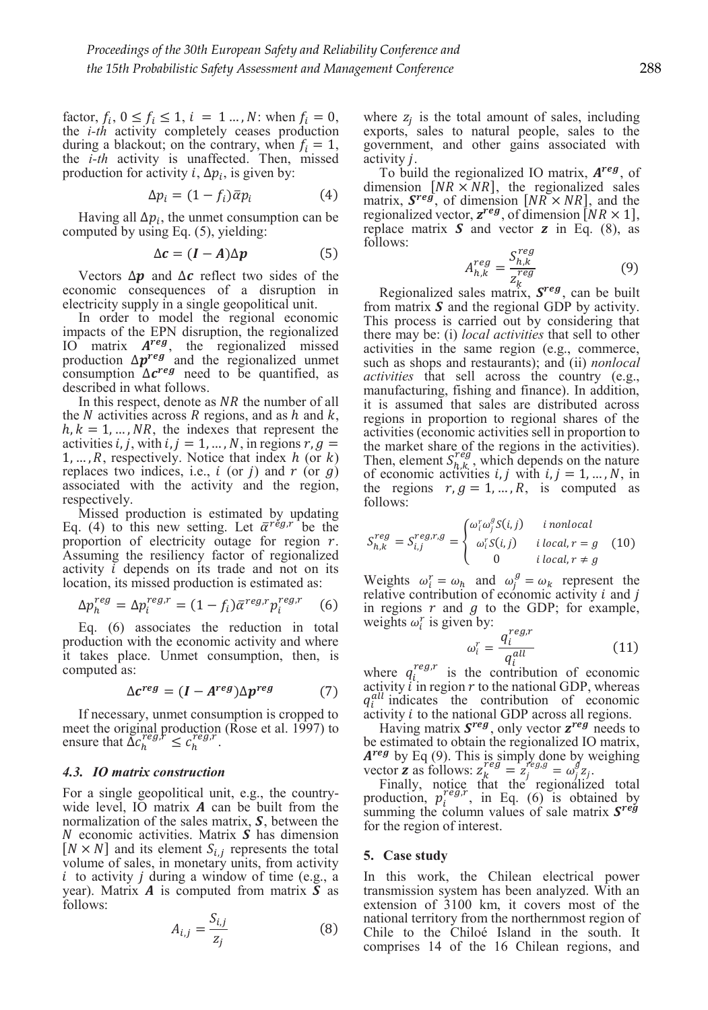factor,  $f_i$ ,  $0 \le f_i \le 1$ ,  $i = 1 \dots, N$ : when  $f_i = 0$ , the *i-th* activity completely ceases production during a blackout; on the contrary, when  $f_i = 1$ , the *i-th* activity is unaffected. Then, missed production for activity *i*,  $\Delta p_i$ , is given by:

$$
\Delta p_i = (1 - f_i)\bar{\alpha}p_i \tag{4}
$$

Having all  $\Delta p_i$ , the unmet consumption can be computed by using Eq. (5), yielding:

$$
\Delta c = (I - A)\Delta p \tag{5}
$$

Vectors  $\Delta p$  and  $\Delta c$  reflect two sides of the economic consequences of a disruption in electricity supply in a single geopolitical unit.

In order to model the regional economic impacts of the EPN disruption, the regionalized IO matrix  $A^{reg}$ , the regionalized missed production  $\Delta p^{reg}$  and the regionalized unmet consumption  $\Delta c^{reg}$  need to be quantified, as described in what follows.

In this respect, denote as  $NR$  the number of all the N activities across R regions, and as h and  $k$ ,  $h, k = 1, ..., NR$ , the indexes that represent the activities *i*, *j*, with *i*,  $j = 1, ..., N$ , in regions  $r, g =$  $1, \ldots, R$ , respectively. Notice that index h (or k) replaces two indices, i.e.,  $i$  (or  $j$ ) and  $r$  (or  $q$ ) associated with the activity and the region, respectively.

Missed production is estimated by updating Eq. (4) to this new setting. Let  $\bar{\alpha}^{r\acute{e}g,r}$  be the proportion of electricity outage for region  $r$ . Assuming the resiliency factor of regionalized activity  $\overline{i}$  depends on its trade and not on its location, its missed production is estimated as:

$$
\Delta p_h^{reg} = \Delta p_i^{reg,r} = (1 - f_i) \bar{\alpha}^{reg,r} p_i^{reg,r} \quad (6)
$$

Eq. (6) associates the reduction in total production with the economic activity and where it takes place. Unmet consumption, then, is computed as:

$$
\Delta c^{reg} = (I - A^{reg}) \Delta p^{reg} \tag{7}
$$

If necessary, unmet consumption is cropped to meet the original production (Rose et al. 1997) to ensure that  $\Delta c_h^{reg,r} \leq c_h^{reg,r}$ .

#### *4.3. IO matrix construction*

For a single geopolitical unit, e.g., the countrywide level, IO matrix  $\boldsymbol{A}$  can be built from the normalization of the sales matrix,  $S$ , between the  $N$  economic activities. Matrix  $S$  has dimension  $[N \times N]$  and its element  $S_{i,i}$  represents the total volume of sales, in monetary units, from activity  $i$  to activity  $j$  during a window of time (e.g., a year). Matrix  $\bm{A}$  is computed from matrix  $\bm{S}$  as follows:

$$
A_{i,j} = \frac{S_{i,j}}{z_j} \tag{8}
$$

where  $z_i$  is the total amount of sales, including exports, sales to natural people, sales to the government, and other gains associated with activity *j*.

To build the regionalized IO matrix,  $A^{reg}$ , of dimension  $[NR \times NR]$ , the regionalized sales matrix,  $S^{reg}$ , of dimension  $[NR \times NR]$ , and the regionalized vector,  $z^{reg}$ , of dimension  $[NR \times 1]$ , replace matrix  $S$  and vector  $z$  in Eq. (8), as follows:

$$
A_{h,k}^{reg} = \frac{S_{h,k}^{reg}}{z_{k}^{reg}}
$$
(9)

Regionalized sales matrix,  $S^{reg}_{\overline{C}}$  can be built from matrix  $S$  and the regional GDP by activity. This process is carried out by considering that there may be: (i) *local activities* that sell to other activities in the same region (e.g., commerce, such as shops and restaurants); and (ii) *nonlocal activities* that sell across the country (e.g., manufacturing, fishing and finance). In addition, it is assumed that sales are distributed across regions in proportion to regional shares of the activities (economic activities sell in proportion to the market share of the regions in the activities). Then, element  $S_{h,k}^{reg}$ , which depends on the nature of economic activities  $i, j$  with  $i, j = 1, ..., N$ , in the regions  $r, g = 1, ..., R$ , is computed as follows:

$$
S_{h,k}^{reg} = S_{i,j}^{reg,r,g} = \begin{cases} \omega_i^r \omega_j^g S(i,j) & i \text{ nonlocal} \\ \omega_i^r S(i,j) & i \text{ local}, r = g \\ 0 & i \text{ local}, r \neq g \end{cases}
$$
 (10)

Weights  $\omega_i^r = \omega_h$  and  $\omega_j^g = \omega_k$  represent the relative contribution of economic activity  $i$  and  $j$ in regions  $r$  and  $g$  to the GDP; for example, weights  $\omega_i^r$  is given by:

$$
\omega_i^r = \frac{q_i^{reg,r}}{q_i^{all}} \tag{11}
$$

where  $q_i^{reg,r}$  is the contribution of economic<br>estimity in position at the national CDP whereas activity  $\hat{i}$  in region  $r$  to the national GDP, whereas  $q_i^{all}$  indicates the contribution of economic activity *i* to the national GDP across all regions.

Having matrix  $S^{reg}$ , only vector  $z^{reg}$  needs to be estimated to obtain the regionalized IO matrix,  $A^{reg}$  by Eq (9). This is simply done by weighing

vector **z** as follows:  $z_k^{reg} = z_j^{reg} = \omega_j^g z_j$ .<br>Finally, notice that the regionalized total production,  $p_i^{reg,r}$ , in Eq. (6) is obtained by<br>summing the obtained values of solo matrix  $\mathbf{S}^{reg}$ . summing the column values of sale matrix  $S^{reg}$ for the region of interest.

#### **5. Case study**

In this work, the Chilean electrical power transmission system has been analyzed. With an extension of 3100 km, it covers most of the national territory from the northernmost region of Chile to the Chiloé Island in the south. It comprises 14 of the 16 Chilean regions, and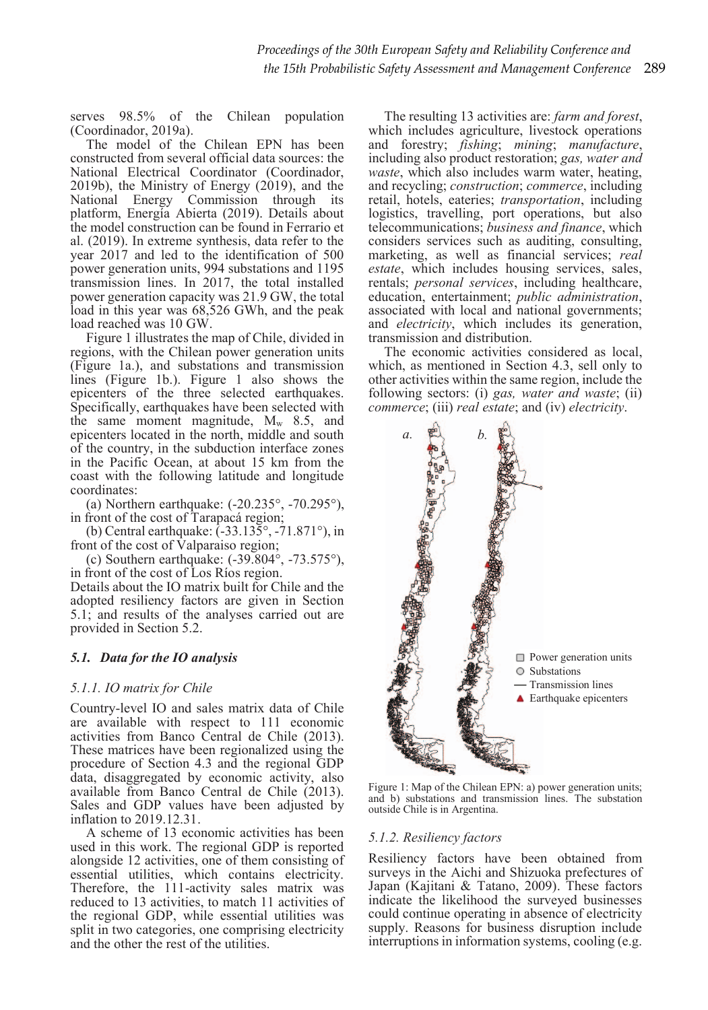serves 98.5% of the Chilean population (Coordinador, 2019a).

The model of the Chilean EPN has been constructed from several official data sources: the National Electrical Coordinator (Coordinador, 2019b), the Ministry of Energy (2019), and the National Energy Commission through its platform, Energía Abierta (2019). Details about the model construction can be found in Ferrario et al. (2019). In extreme synthesis, data refer to the year 2017 and led to the identification of 500 power generation units, 994 substations and 1195 transmission lines. In 2017, the total installed power generation capacity was 21.9 GW, the total load in this year was 68,526 GWh, and the peak load reached was 10 GW.

Figure 1 illustrates the map of Chile, divided in regions, with the Chilean power generation units (Figure 1a.), and substations and transmission lines (Figure 1b.). Figure 1 also shows the epicenters of the three selected earthquakes. Specifically, earthquakes have been selected with the same moment magnitude,  $M_w$  8.5, and epicenters located in the north, middle and south of the country, in the subduction interface zones in the Pacific Ocean, at about 15 km from the coast with the following latitude and longitude coordinates:

(a) Northern earthquake: (-20.235°, -70.295°), in front of the cost of Tarapacá region;

(b) Central earthquake: (-33.135°, -71.871°), in front of the cost of Valparaiso region;

(c) Southern earthquake:  $(-39.804^{\circ}, -73.575^{\circ})$ , in front of the cost of Los Ríos region.

Details about the IO matrix built for Chile and the adopted resiliency factors are given in Section 5.1; and results of the analyses carried out are provided in Section 5.2.

# *5.1. Data for the IO analysis*

# *5.1.1. IO matrix for Chile*

Country-level IO and sales matrix data of Chile are available with respect to 111 economic activities from Banco Central de Chile (2013). These matrices have been regionalized using the procedure of Section 4.3 and the regional GDP data, disaggregated by economic activity, also available from Banco Central de Chile (2013). Sales and GDP values have been adjusted by inflation to 2019.12.31.

A scheme of 13 economic activities has been used in this work. The regional GDP is reported alongside 12 activities, one of them consisting of essential utilities, which contains electricity. Therefore, the 111-activity sales matrix was reduced to 13 activities, to match 11 activities of the regional GDP, while essential utilities was split in two categories, one comprising electricity and the other the rest of the utilities.

The resulting 13 activities are: *farm and forest*, which includes agriculture, livestock operations and forestry; *fishing*; *mining*; *manufacture*, including also product restoration; *gas, water and waste*, which also includes warm water, heating, and recycling; *construction*; *commerce*, including retail, hotels, eateries; *transportation*, including logistics, travelling, port operations, but also telecommunications; *business and finance*, which considers services such as auditing, consulting, marketing, as well as financial services; *real estate*, which includes housing services, sales, rentals; *personal services*, including healthcare, education, entertainment; *public administration*, associated with local and national governments; and *electricity*, which includes its generation, transmission and distribution.

The economic activities considered as local, which, as mentioned in Section 4.3, sell only to other activities within the same region, include the following sectors: (i) *gas, water and waste*; (ii) *commerce*; (iii) *real estate*; and (iv) *electricity*.



Figure 1: Map of the Chilean EPN: a) power generation units; and b) substations and transmission lines. The substation outside Chile is in Argentina.

# *5.1.2. Resiliency factors*

Resiliency factors have been obtained from surveys in the Aichi and Shizuoka prefectures of Japan (Kajitani & Tatano, 2009). These factors indicate the likelihood the surveyed businesses could continue operating in absence of electricity supply. Reasons for business disruption include interruptions in information systems, cooling (e.g.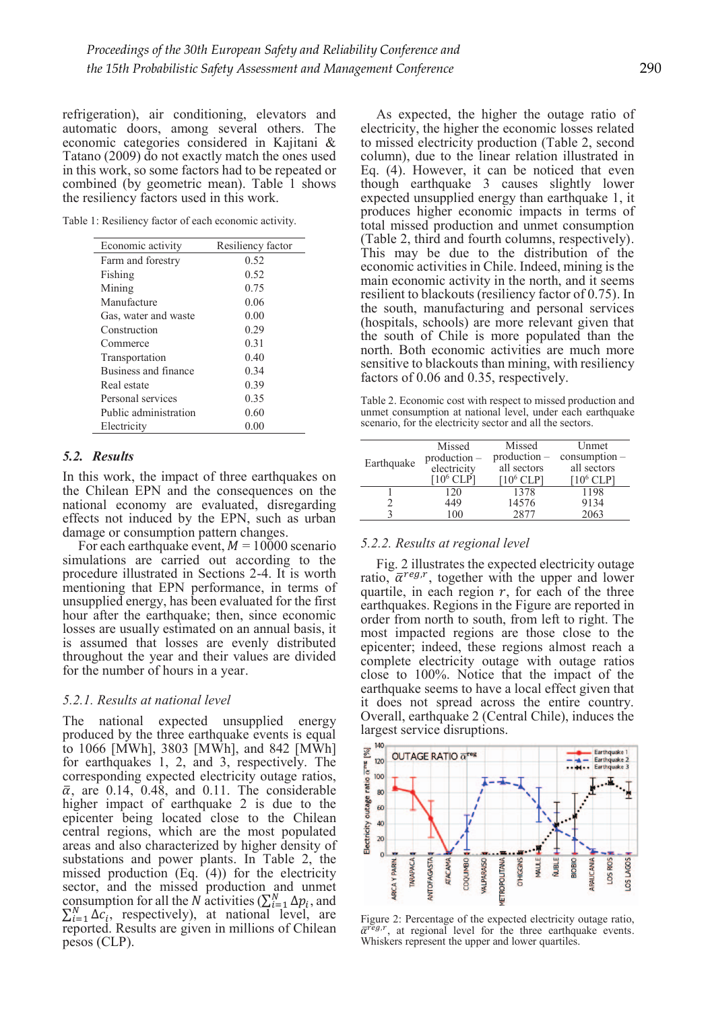refrigeration), air conditioning, elevators and automatic doors, among several others. The economic categories considered in Kajitani & Tatano (2009) do not exactly match the ones used in this work, so some factors had to be repeated or combined (by geometric mean). Table 1 shows the resiliency factors used in this work.

Table 1: Resiliency factor of each economic activity.

| Economic activity     | Resiliency factor |
|-----------------------|-------------------|
| Farm and forestry     | 0.52              |
| Fishing               | 0.52              |
| Mining                | 0.75              |
| Manufacture           | 0.06              |
| Gas, water and waste  | 0.00              |
| Construction          | 0.29              |
| Commerce              | 0.31              |
| Transportation        | 0.40              |
| Business and finance  | 0.34              |
| Real estate           | 0.39              |
| Personal services     | 0.35              |
| Public administration | 0.60              |
| Electricity           | $0.00\,$          |

### *5.2. Results*

In this work, the impact of three earthquakes on the Chilean EPN and the consequences on the national economy are evaluated, disregarding effects not induced by the EPN, such as urban damage or consumption pattern changes.

For each earthquake event,  $M = 10000$  scenario simulations are carried out according to the procedure illustrated in Sections 2-4. It is worth mentioning that EPN performance, in terms of unsupplied energy, has been evaluated for the first hour after the earthquake; then, since economic losses are usually estimated on an annual basis, it is assumed that losses are evenly distributed throughout the year and their values are divided for the number of hours in a year.

#### *5.2.1. Results at national level*

The national expected unsupplied energy produced by the three earthquake events is equal to 1066 [MWh], 3803 [MWh], and 842 [MWh] for earthquakes 1, 2, and 3, respectively. The corresponding expected electricity outage ratios,  $\bar{\alpha}$ , are 0.14, 0.48, and 0.11. The considerable higher impact of earthquake 2 is due to the epicenter being located close to the Chilean central regions, which are the most populated areas and also characterized by higher density of substations and power plants. In Table 2, the missed production (Eq. (4)) for the electricity sector, and the missed production and unmet consumption for all the N activities  $(\sum_{i=1}^{N} \Delta p_i)$ , and  $\sum_{i=1}^{N} \Delta c_i$ , respectively), at national level, are reported. Results are given in millions of Chilean pesos (CLP).

As expected, the higher the outage ratio of electricity, the higher the economic losses related to missed electricity production (Table 2, second column), due to the linear relation illustrated in Eq. (4). However, it can be noticed that even though earthquake 3 causes slightly lower expected unsupplied energy than earthquake 1, it produces higher economic impacts in terms of total missed production and unmet consumption (Table 2, third and fourth columns, respectively). This may be due to the distribution of the economic activities in Chile. Indeed, mining is the main economic activity in the north, and it seems resilient to blackouts (resiliency factor of 0.75). In the south, manufacturing and personal services (hospitals, schools) are more relevant given that the south of Chile is more populated than the north. Both economic activities are much more sensitive to blackouts than mining, with resiliency factors of 0.06 and 0.35, respectively.

Table 2. Economic cost with respect to missed production and unmet consumption at national level, under each earthquake scenario, for the electricity sector and all the sectors.

| Earthquake | Missed              | Missed       | Unmet           |
|------------|---------------------|--------------|-----------------|
|            | $production -$      | production – | $consumption -$ |
|            | electricity         | all sectors  | all sectors     |
|            | 10 <sup>6</sup> CLP | $106$ CLP    | $106$ CLP       |
|            | 120                 | 1378         | 1198            |
|            | 449                 | 14576        | 9134            |
|            | 100                 | 2877         | 2063            |
|            |                     |              |                 |

#### *5.2.2. Results at regional level*

Fig. 2 illustrates the expected electricity outage ratio,  $\bar{\alpha}^{reg,r}$ , together with the upper and lower quartile, in each region  $r$ , for each of the three earthquakes. Regions in the Figure are reported in order from north to south, from left to right. The most impacted regions are those close to the epicenter; indeed, these regions almost reach a complete electricity outage with outage ratios close to 100%. Notice that the impact of the earthquake seems to have a local effect given that it does not spread across the entire country. Overall, earthquake 2 (Central Chile), induces the largest service disruptions.



Figure 2: Percentage of the expected electricity outage ratio,  $\bar{\alpha}^{\text{reg},r}$ , at regional level for the three earthquake events. Whiskers represent the upper and lower quartiles.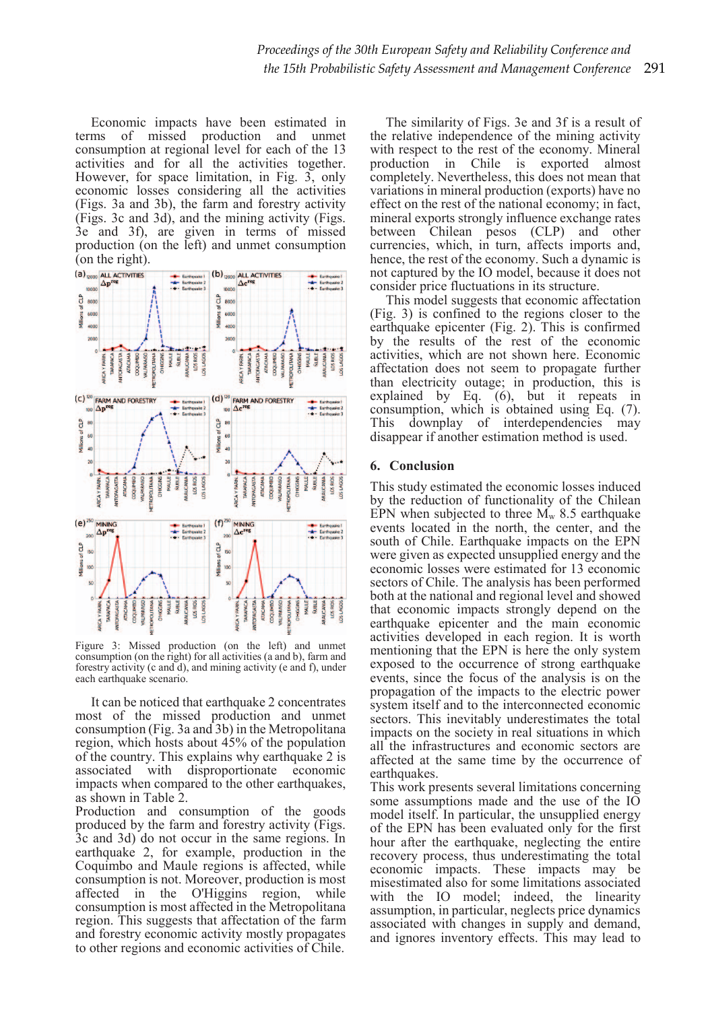Economic impacts have been estimated in terms of missed production and unmet consumption at regional level for each of the 13 activities and for all the activities together. However, for space limitation, in Fig. 3, only economic losses considering all the activities (Figs. 3a and 3b), the farm and forestry activity (Figs. 3c and 3d), and the mining activity (Figs. 3e and 3f), are given in terms of missed production (on the left) and unmet consumption  $\bar{0}$  (on the right).



Figure 3: Missed production (on the left) and unmet consumption (on the right) for all activities (a and b), farm and forestry activity (c and d), and mining activity (e and f), under each earthquake scenario.

It can be noticed that earthquake 2 concentrates most of the missed production and unmet consumption (Fig. 3a and 3b) in the Metropolitana region, which hosts about 45% of the population of the country. This explains why earthquake 2 is associated with disproportionate economic impacts when compared to the other earthquakes, as shown in Table 2.

Production and consumption of the goods produced by the farm and forestry activity (Figs. 3c and 3d) do not occur in the same regions. In earthquake 2, for example, production in the Coquimbo and Maule regions is affected, while consumption is not. Moreover, production is most affected in the O'Higgins region, while consumption is most affected in the Metropolitana region. This suggests that affectation of the farm and forestry economic activity mostly propagates to other regions and economic activities of Chile.

The similarity of Figs. 3e and 3f is a result of the relative independence of the mining activity with respect to the rest of the economy. Mineral production in Chile is exported almost completely. Nevertheless, this does not mean that variations in mineral production (exports) have no effect on the rest of the national economy; in fact, mineral exports strongly influence exchange rates between Chilean pesos (CLP) and other currencies, which, in turn, affects imports and, hence, the rest of the economy. Such a dynamic is not captured by the IO model, because it does not consider price fluctuations in its structure.

This model suggests that economic affectation (Fig. 3) is confined to the regions closer to the earthquake epicenter (Fig. 2). This is confirmed by the results of the rest of the economic activities, which are not shown here. Economic affectation does not seem to propagate further than electricity outage; in production, this is explained by Eq. (6), but it repeats in consumption, which is obtained using Eq. (7). This downplay of interdependencies may disappear if another estimation method is used.

# **6. Conclusion**

This study estimated the economic losses induced by the reduction of functionality of the Chilean EPN when subjected to three  $M_w$  8.5 earthquake events located in the north, the center, and the south of Chile. Earthquake impacts on the EPN were given as expected unsupplied energy and the economic losses were estimated for 13 economic sectors of Chile. The analysis has been performed both at the national and regional level and showed that economic impacts strongly depend on the earthquake epicenter and the main economic activities developed in each region. It is worth mentioning that the EPN is here the only system exposed to the occurrence of strong earthquake events, since the focus of the analysis is on the propagation of the impacts to the electric power system itself and to the interconnected economic sectors. This inevitably underestimates the total impacts on the society in real situations in which all the infrastructures and economic sectors are affected at the same time by the occurrence of earthquakes.

This work presents several limitations concerning some assumptions made and the use of the IO model itself. In particular, the unsupplied energy of the EPN has been evaluated only for the first hour after the earthquake, neglecting the entire recovery process, thus underestimating the total economic impacts. These impacts may be misestimated also for some limitations associated with the IO model; indeed, the linearity assumption, in particular, neglects price dynamics associated with changes in supply and demand, and ignores inventory effects. This may lead to